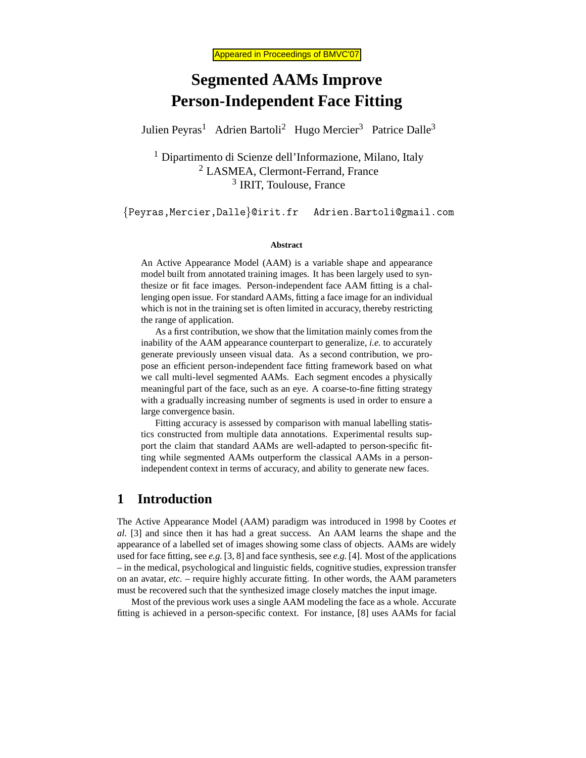# **Segmented AAMs Improve Person-Independent Face Fitting**

Julien Peyras<sup>1</sup> Adrien Bartoli<sup>2</sup> Hugo Mercier<sup>3</sup> Patrice Dalle<sup>3</sup>

<sup>1</sup> Dipartimento di Scienze dell'Informazione, Milano, Italy <sup>2</sup> LASMEA, Clermont-Ferrand, France <sup>3</sup> IRIT, Toulouse, France

{Peyras,Mercier,Dalle}@irit.fr Adrien.Bartoli@gmail.com

#### **Abstract**

An Active Appearance Model (AAM) is a variable shape and appearance model built from annotated training images. It has been largely used to synthesize or fit face images. Person-independent face AAM fitting is a challenging open issue. For standard AAMs, fitting a face image for an individual which is not in the training set is often limited in accuracy, thereby restricting the range of application.

As a first contribution, we show that the limitation mainly comes from the inability of the AAM appearance counterpart to generalize, *i.e.* to accurately generate previously unseen visual data. As a second contribution, we propose an efficient person-independent face fitting framework based on what we call multi-level segmented AAMs. Each segment encodes a physically meaningful part of the face, such as an eye. A coarse-to-fine fitting strategy with a gradually increasing number of segments is used in order to ensure a large convergence basin.

Fitting accuracy is assessed by comparison with manual labelling statistics constructed from multiple data annotations. Experimental results support the claim that standard AAMs are well-adapted to person-specific fitting while segmented AAMs outperform the classical AAMs in a personindependent context in terms of accuracy, and ability to generate new faces.

# **1 Introduction**

The Active Appearance Model (AAM) paradigm was introduced in 1998 by Cootes *et al.* [3] and since then it has had a great success. An AAM learns the shape and the appearance of a labelled set of images showing some class of objects. AAMs are widely used for face fitting, see *e.g.* [3, 8] and face synthesis, see *e.g.* [4]. Most of the applications – in the medical, psychological and linguistic fields, cognitive studies, expression transfer on an avatar, *etc.* – require highly accurate fitting. In other words, the AAM parameters must be recovered such that the synthesized image closely matches the input image.

Most of the previous work uses a single AAM modeling the face as a whole. Accurate fitting is achieved in a person-specific context. For instance, [8] uses AAMs for facial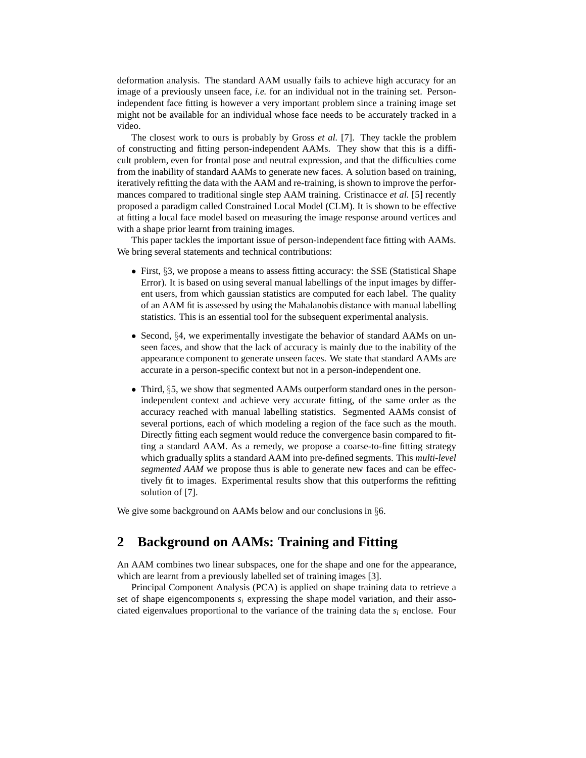deformation analysis. The standard AAM usually fails to achieve high accuracy for an image of a previously unseen face, *i.e.* for an individual not in the training set. Personindependent face fitting is however a very important problem since a training image set might not be available for an individual whose face needs to be accurately tracked in a video.

The closest work to ours is probably by Gross *et al.* [7]. They tackle the problem of constructing and fitting person-independent AAMs. They show that this is a difficult problem, even for frontal pose and neutral expression, and that the difficulties come from the inability of standard AAMs to generate new faces. A solution based on training, iteratively refitting the data with the AAM and re-training, is shown to improve the performances compared to traditional single step AAM training. Cristinacce *et al.* [5] recently proposed a paradigm called Constrained Local Model (CLM). It is shown to be effective at fitting a local face model based on measuring the image response around vertices and with a shape prior learnt from training images.

This paper tackles the important issue of person-independent face fitting with AAMs. We bring several statements and technical contributions:

- First, §3, we propose a means to assess fitting accuracy: the SSE (Statistical Shape Error). It is based on using several manual labellings of the input images by different users, from which gaussian statistics are computed for each label. The quality of an AAM fit is assessed by using the Mahalanobis distance with manual labelling statistics. This is an essential tool for the subsequent experimental analysis.
- Second,  $\S 4$ , we experimentally investigate the behavior of standard AAMs on unseen faces, and show that the lack of accuracy is mainly due to the inability of the appearance component to generate unseen faces. We state that standard AAMs are accurate in a person-specific context but not in a person-independent one.
- Third, §5, we show that segmented AAMs outperform standard ones in the personindependent context and achieve very accurate fitting, of the same order as the accuracy reached with manual labelling statistics. Segmented AAMs consist of several portions, each of which modeling a region of the face such as the mouth. Directly fitting each segment would reduce the convergence basin compared to fitting a standard AAM. As a remedy, we propose a coarse-to-fine fitting strategy which gradually splits a standard AAM into pre-defined segments. This *multi-level segmented AAM* we propose thus is able to generate new faces and can be effectively fit to images. Experimental results show that this outperforms the refitting solution of [7].

We give some background on AAMs below and our conclusions in  $\S6$ .

# **2 Background on AAMs: Training and Fitting**

An AAM combines two linear subspaces, one for the shape and one for the appearance, which are learnt from a previously labelled set of training images [3].

Principal Component Analysis (PCA) is applied on shape training data to retrieve a set of shape eigencomponents  $s_i$  expressing the shape model variation, and their associated eigenvalues proportional to the variance of the training data the  $s_i$  enclose. Four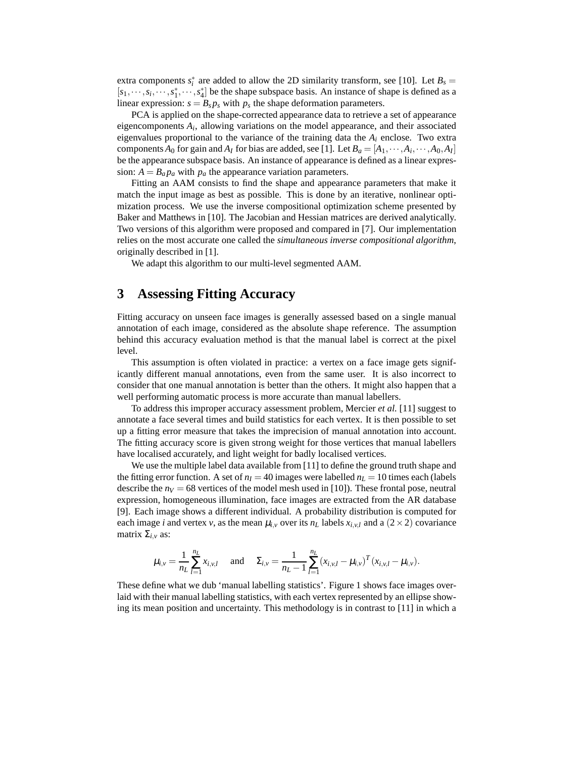extra components  $s_i^*$  are added to allow the 2D similarity transform, see [10]. Let  $B_s =$  $[s_1, \dots, s_i, \dots, s_1^*, \dots, s_4^*]$  be the shape subspace basis. An instance of shape is defined as a linear expression:  $s = B_s p_s$  with  $p_s$  the shape deformation parameters.

PCA is applied on the shape-corrected appearance data to retrieve a set of appearance eigencomponents *A<sup>i</sup>* , allowing variations on the model appearance, and their associated eigenvalues proportional to the variance of the training data the  $A_i$  enclose. Two extra components  $A_0$  for gain and  $A_I$  for bias are added, see [1]. Let  $B_a = [A_1, \dots, A_i, \dots, A_0, A_I]$ be the appearance subspace basis. An instance of appearance is defined as a linear expression:  $A = B_a p_a$  with  $p_a$  the appearance variation parameters.

Fitting an AAM consists to find the shape and appearance parameters that make it match the input image as best as possible. This is done by an iterative, nonlinear optimization process. We use the inverse compositional optimization scheme presented by Baker and Matthews in [10]. The Jacobian and Hessian matrices are derived analytically. Two versions of this algorithm were proposed and compared in [7]. Our implementation relies on the most accurate one called the *simultaneous inverse compositional algorithm*, originally described in [1].

We adapt this algorithm to our multi-level segmented AAM.

# **3 Assessing Fitting Accuracy**

Fitting accuracy on unseen face images is generally assessed based on a single manual annotation of each image, considered as the absolute shape reference. The assumption behind this accuracy evaluation method is that the manual label is correct at the pixel level.

This assumption is often violated in practice: a vertex on a face image gets significantly different manual annotations, even from the same user. It is also incorrect to consider that one manual annotation is better than the others. It might also happen that a well performing automatic process is more accurate than manual labellers.

To address this improper accuracy assessment problem, Mercier *et al.* [11] suggest to annotate a face several times and build statistics for each vertex. It is then possible to set up a fitting error measure that takes the imprecision of manual annotation into account. The fitting accuracy score is given strong weight for those vertices that manual labellers have localised accurately, and light weight for badly localised vertices.

We use the multiple label data available from [11] to define the ground truth shape and the fitting error function. A set of  $n<sub>I</sub> = 40$  images were labelled  $n<sub>L</sub> = 10$  times each (labels describe the  $n_V = 68$  vertices of the model mesh used in [10]). These frontal pose, neutral expression, homogeneous illumination, face images are extracted from the AR database [9]. Each image shows a different individual. A probability distribution is computed for each image *i* and vertex *v*, as the mean  $\mu_{i,v}$  over its  $n_L$  labels  $x_{i,v,l}$  and a (2 × 2) covariance matrix  $Σ<sub>i,ν</sub>$  as:

$$
\mu_{i,v} = \frac{1}{n_L} \sum_{l=1}^{n_L} x_{i,v,l}
$$
 and  $\Sigma_{i,v} = \frac{1}{n_L - 1} \sum_{l=1}^{n_L} (x_{i,v,l} - \mu_{i,v})^T (x_{i,v,l} - \mu_{i,v}).$ 

These define what we dub 'manual labelling statistics'. Figure 1 shows face images overlaid with their manual labelling statistics, with each vertex represented by an ellipse showing its mean position and uncertainty. This methodology is in contrast to [11] in which a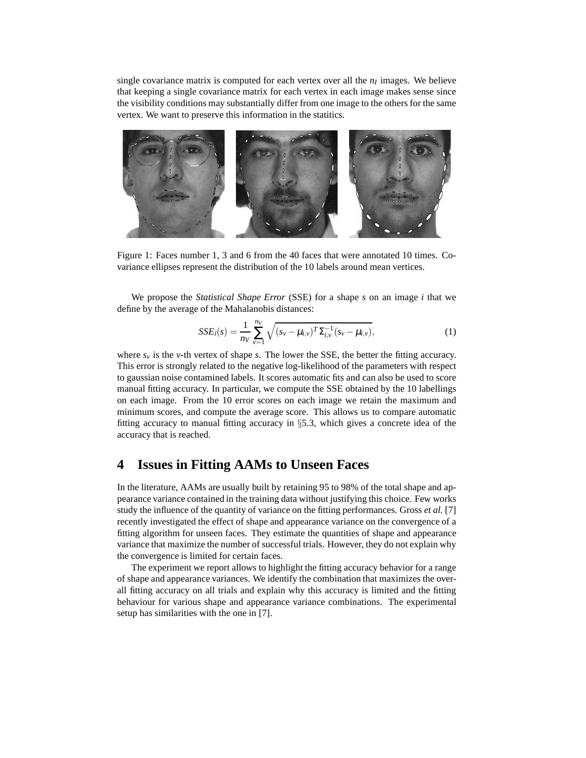single covariance matrix is computed for each vertex over all the  $n_I$  images. We believe that keeping a single covariance matrix for each vertex in each image makes sense since the visibility conditions may substantially differ from one image to the others for the same vertex. We want to preserve this information in the statitics.



Figure 1: Faces number 1, 3 and 6 from the 40 faces that were annotated 10 times. Covariance ellipses represent the distribution of the 10 labels around mean vertices.

We propose the *Statistical Shape Error* (SSE) for a shape *s* on an image *i* that we define by the average of the Mahalanobis distances:

$$
SSE_i(s) = \frac{1}{n_V} \sum_{\nu=1}^{n_V} \sqrt{(s_{\nu} - \mu_{i,\nu})^T \Sigma_{i,\nu}^{-1} (s_{\nu} - \mu_{i,\nu})},
$$
(1)

where  $s<sub>v</sub>$  is the *v*-th vertex of shape *s*. The lower the SSE, the better the fitting accuracy. This error is strongly related to the negative log-likelihood of the parameters with respect to gaussian noise contamined labels. It scores automatic fits and can also be used to score manual fitting accuracy. In particular, we compute the SSE obtained by the 10 labellings on each image. From the 10 error scores on each image we retain the maximum and minimum scores, and compute the average score. This allows us to compare automatic fitting accuracy to manual fitting accuracy in §5.3, which gives a concrete idea of the accuracy that is reached.

# **4 Issues in Fitting AAMs to Unseen Faces**

In the literature, AAMs are usually built by retaining 95 to 98% of the total shape and appearance variance contained in the training data without justifying this choice. Few works study the influence of the quantity of variance on the fitting performances. Gross *et al.* [7] recently investigated the effect of shape and appearance variance on the convergence of a fitting algorithm for unseen faces. They estimate the quantities of shape and appearance variance that maximize the number of successful trials. However, they do not explain why the convergence is limited for certain faces.

The experiment we report allows to highlight the fitting accuracy behavior for a range of shape and appearance variances. We identify the combination that maximizes the overall fitting accuracy on all trials and explain why this accuracy is limited and the fitting behaviour for various shape and appearance variance combinations. The experimental setup has similarities with the one in [7].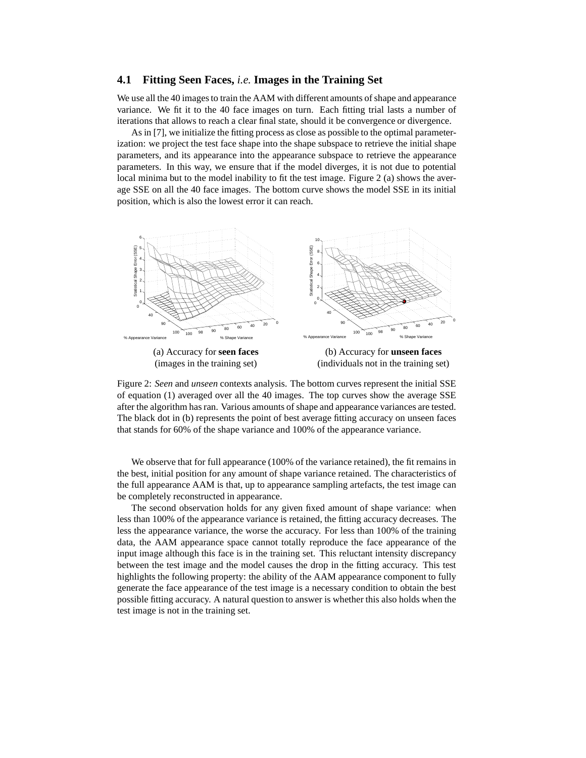#### **4.1 Fitting Seen Faces,** *i.e.* **Images in the Training Set**

We use all the 40 images to train the AAM with different amounts of shape and appearance variance. We fit it to the 40 face images on turn. Each fitting trial lasts a number of iterations that allows to reach a clear final state, should it be convergence or divergence.

As in [7], we initialize the fitting process as close as possible to the optimal parameterization: we project the test face shape into the shape subspace to retrieve the initial shape parameters, and its appearance into the appearance subspace to retrieve the appearance parameters. In this way, we ensure that if the model diverges, it is not due to potential local minima but to the model inability to fit the test image. Figure 2 (a) shows the average SSE on all the 40 face images. The bottom curve shows the model SSE in its initial position, which is also the lowest error it can reach.



Figure 2: *Seen* and *unseen* contexts analysis. The bottom curves represent the initial SSE of equation (1) averaged over all the 40 images. The top curves show the average SSE after the algorithm has ran. Various amounts of shape and appearance variances are tested. The black dot in (b) represents the point of best average fitting accuracy on unseen faces that stands for 60% of the shape variance and 100% of the appearance variance.

We observe that for full appearance (100% of the variance retained), the fit remains in the best, initial position for any amount of shape variance retained. The characteristics of the full appearance AAM is that, up to appearance sampling artefacts, the test image can be completely reconstructed in appearance.

The second observation holds for any given fixed amount of shape variance: when less than 100% of the appearance variance is retained, the fitting accuracy decreases. The less the appearance variance, the worse the accuracy. For less than 100% of the training data, the AAM appearance space cannot totally reproduce the face appearance of the input image although this face is in the training set. This reluctant intensity discrepancy between the test image and the model causes the drop in the fitting accuracy. This test highlights the following property: the ability of the AAM appearance component to fully generate the face appearance of the test image is a necessary condition to obtain the best possible fitting accuracy. A natural question to answer is whether this also holds when the test image is not in the training set.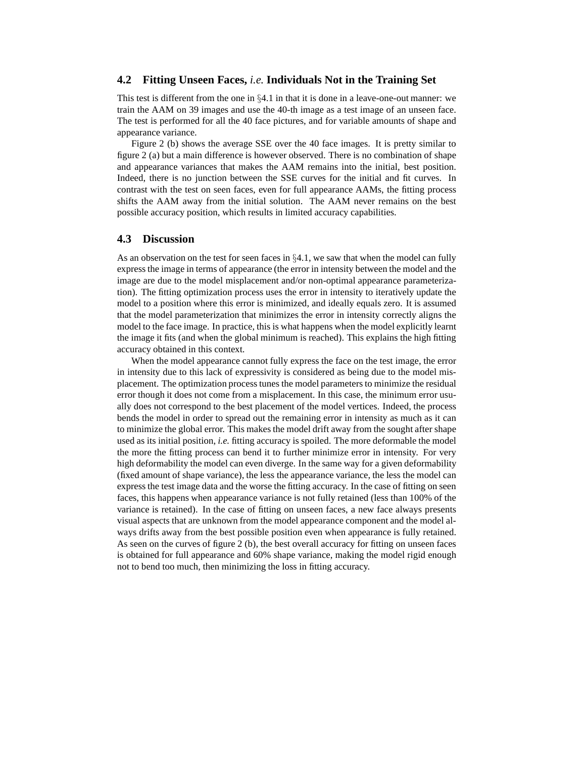#### **4.2 Fitting Unseen Faces,** *i.e.* **Individuals Not in the Training Set**

This test is different from the one in  $\S 4.1$  in that it is done in a leave-one-out manner: we train the AAM on 39 images and use the 40-th image as a test image of an unseen face. The test is performed for all the 40 face pictures, and for variable amounts of shape and appearance variance.

Figure 2 (b) shows the average SSE over the 40 face images. It is pretty similar to figure 2 (a) but a main difference is however observed. There is no combination of shape and appearance variances that makes the AAM remains into the initial, best position. Indeed, there is no junction between the SSE curves for the initial and fit curves. In contrast with the test on seen faces, even for full appearance AAMs, the fitting process shifts the AAM away from the initial solution. The AAM never remains on the best possible accuracy position, which results in limited accuracy capabilities.

#### **4.3 Discussion**

As an observation on the test for seen faces in  $\S 4.1$ , we saw that when the model can fully express the image in terms of appearance (the error in intensity between the model and the image are due to the model misplacement and/or non-optimal appearance parameterization). The fitting optimization process uses the error in intensity to iteratively update the model to a position where this error is minimized, and ideally equals zero. It is assumed that the model parameterization that minimizes the error in intensity correctly aligns the model to the face image. In practice, this is what happens when the model explicitly learnt the image it fits (and when the global minimum is reached). This explains the high fitting accuracy obtained in this context.

When the model appearance cannot fully express the face on the test image, the error in intensity due to this lack of expressivity is considered as being due to the model misplacement. The optimization process tunes the model parameters to minimize the residual error though it does not come from a misplacement. In this case, the minimum error usually does not correspond to the best placement of the model vertices. Indeed, the process bends the model in order to spread out the remaining error in intensity as much as it can to minimize the global error. This makes the model drift away from the sought after shape used as its initial position, *i.e.* fitting accuracy is spoiled. The more deformable the model the more the fitting process can bend it to further minimize error in intensity. For very high deformability the model can even diverge. In the same way for a given deformability (fixed amount of shape variance), the less the appearance variance, the less the model can express the test image data and the worse the fitting accuracy. In the case of fitting on seen faces, this happens when appearance variance is not fully retained (less than 100% of the variance is retained). In the case of fitting on unseen faces, a new face always presents visual aspects that are unknown from the model appearance component and the model always drifts away from the best possible position even when appearance is fully retained. As seen on the curves of figure 2 (b), the best overall accuracy for fitting on unseen faces is obtained for full appearance and 60% shape variance, making the model rigid enough not to bend too much, then minimizing the loss in fitting accuracy.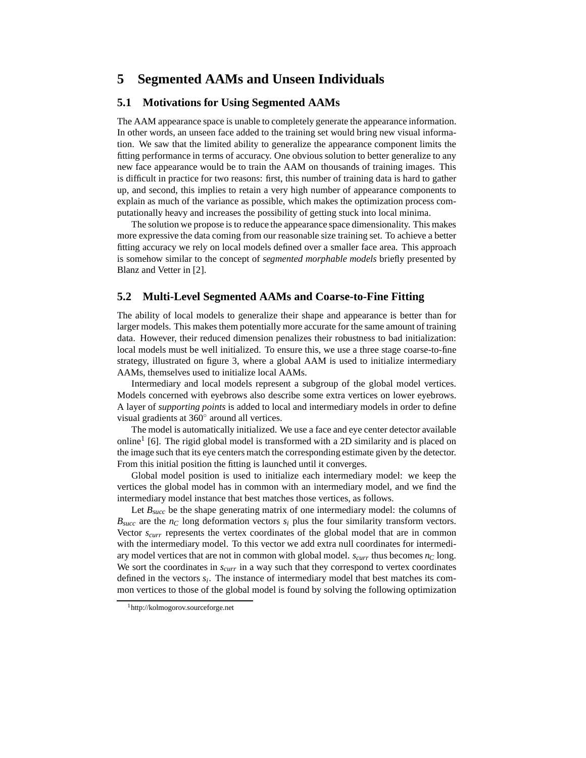# **5 Segmented AAMs and Unseen Individuals**

#### **5.1 Motivations for Using Segmented AAMs**

The AAM appearance space is unable to completely generate the appearance information. In other words, an unseen face added to the training set would bring new visual information. We saw that the limited ability to generalize the appearance component limits the fitting performance in terms of accuracy. One obvious solution to better generalize to any new face appearance would be to train the AAM on thousands of training images. This is difficult in practice for two reasons: first, this number of training data is hard to gather up, and second, this implies to retain a very high number of appearance components to explain as much of the variance as possible, which makes the optimization process computationally heavy and increases the possibility of getting stuck into local minima.

The solution we propose is to reduce the appearance space dimensionality. This makes more expressive the data coming from our reasonable size training set. To achieve a better fitting accuracy we rely on local models defined over a smaller face area. This approach is somehow similar to the concept of *segmented morphable models* briefly presented by Blanz and Vetter in [2].

#### **5.2 Multi-Level Segmented AAMs and Coarse-to-Fine Fitting**

The ability of local models to generalize their shape and appearance is better than for larger models. This makes them potentially more accurate for the same amount of training data. However, their reduced dimension penalizes their robustness to bad initialization: local models must be well initialized. To ensure this, we use a three stage coarse-to-fine strategy, illustrated on figure 3, where a global AAM is used to initialize intermediary AAMs, themselves used to initialize local AAMs.

Intermediary and local models represent a subgroup of the global model vertices. Models concerned with eyebrows also describe some extra vertices on lower eyebrows. A layer of *supporting points* is added to local and intermediary models in order to define visual gradients at 360◦ around all vertices.

The model is automatically initialized. We use a face and eye center detector available online<sup>1</sup> [6]. The rigid global model is transformed with a 2D similarity and is placed on the image such that its eye centers match the corresponding estimate given by the detector. From this initial position the fitting is launched until it converges.

Global model position is used to initialize each intermediary model: we keep the vertices the global model has in common with an intermediary model, and we find the intermediary model instance that best matches those vertices, as follows.

Let  $B<sub>succ</sub>$  be the shape generating matrix of one intermediary model: the columns of  $B_{succ}$  are the  $n_C$  long deformation vectors  $s_i$  plus the four similarity transform vectors. Vector *scurr* represents the vertex coordinates of the global model that are in common with the intermediary model. To this vector we add extra null coordinates for intermediary model vertices that are not in common with global model. *scurr* thus becomes *n<sup>C</sup>* long. We sort the coordinates in  $s<sub>curr</sub>$  in a way such that they correspond to vertex coordinates defined in the vectors *s<sup>i</sup>* . The instance of intermediary model that best matches its common vertices to those of the global model is found by solving the following optimization

<sup>&</sup>lt;sup>1</sup>http://kolmogorov.sourceforge.net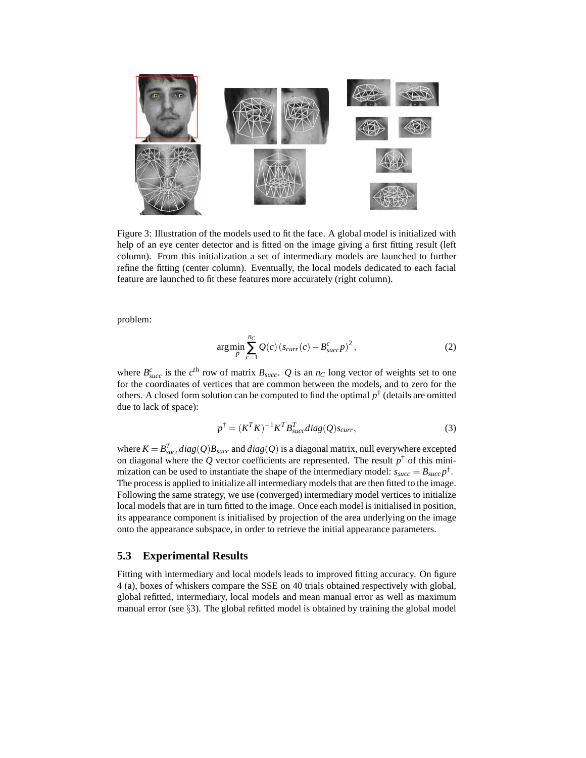

Figure 3: Illustration of the models used to fit the face. A global model is initialized with help of an eye center detector and is fitted on the image giving a first fitting result (left column). From this initialization a set of intermediary models are launched to further refine the fitting (center column). Eventually, the local models dedicated to each facial feature are launched to fit these features more accurately (right column).

problem:

$$
\underset{p}{\arg\min} \sum_{c=1}^{n_C} Q(c) \left( s_{curr}(c) - B_{succ}^c p \right)^2, \tag{2}
$$

where  $B_{succ}^c$  is the  $c^{th}$  row of matrix  $B_{succ}$ . *Q* is an  $n_C$  long vector of weights set to one for the coordinates of vertices that are common between the models, and to zero for the others. A closed form solution can be computed to find the optimal  $p^{\dagger}$  (details are omitted due to lack of space):

$$
p^{\dagger} = (K^T K)^{-1} K^T B_{succ}^T diag(Q) s_{curr}, \qquad (3)
$$

where  $K = B_{succ}^T diag(Q)B_{succ}$  and  $diag(Q)$  is a diagonal matrix, null everywhere excepted on diagonal where the  $Q$  vector coefficients are represented. The result  $p^{\dagger}$  of this minimization can be used to instantiate the shape of the intermediary model:  $s_{succ} = B_{succ}p^{\dagger}$ . The process is applied to initialize all intermediary models that are then fitted to the image. Following the same strategy, we use (converged) intermediary model vertices to initialize local models that are in turn fitted to the image. Once each model is initialised in position, its appearance component is initialised by projection of the area underlying on the image onto the appearance subspace, in order to retrieve the initial appearance parameters.

#### **5.3 Experimental Results**

Fitting with intermediary and local models leads to improved fitting accuracy. On figure 4 (a), boxes of whiskers compare the SSE on 40 trials obtained respectively with global, global refitted, intermediary, local models and mean manual error as well as maximum manual error (see  $\S$ 3). The global refitted model is obtained by training the global model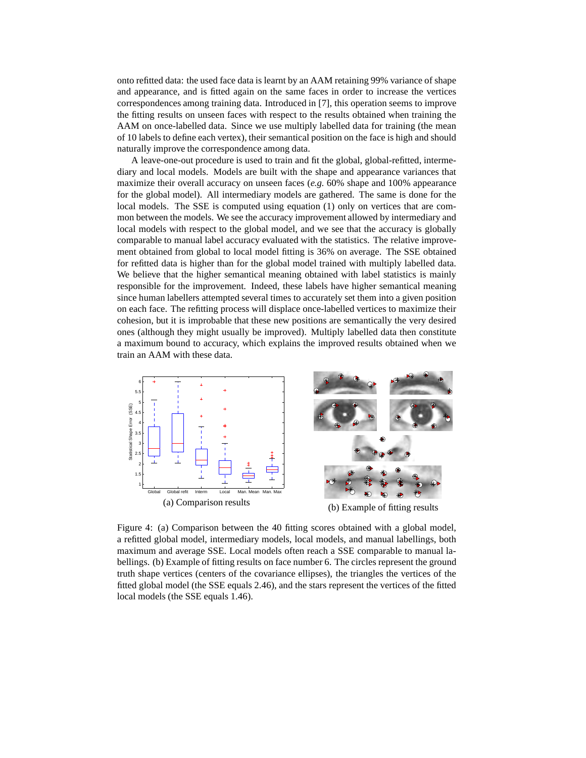onto refitted data: the used face data is learnt by an AAM retaining 99% variance of shape and appearance, and is fitted again on the same faces in order to increase the vertices correspondences among training data. Introduced in [7], this operation seems to improve the fitting results on unseen faces with respect to the results obtained when training the AAM on once-labelled data. Since we use multiply labelled data for training (the mean of 10 labels to define each vertex), their semantical position on the face is high and should naturally improve the correspondence among data.

A leave-one-out procedure is used to train and fit the global, global-refitted, intermediary and local models. Models are built with the shape and appearance variances that maximize their overall accuracy on unseen faces (*e.g.* 60% shape and 100% appearance for the global model). All intermediary models are gathered. The same is done for the local models. The SSE is computed using equation (1) only on vertices that are common between the models. We see the accuracy improvement allowed by intermediary and local models with respect to the global model, and we see that the accuracy is globally comparable to manual label accuracy evaluated with the statistics. The relative improvement obtained from global to local model fitting is 36% on average. The SSE obtained for refitted data is higher than for the global model trained with multiply labelled data. We believe that the higher semantical meaning obtained with label statistics is mainly responsible for the improvement. Indeed, these labels have higher semantical meaning since human labellers attempted several times to accurately set them into a given position on each face. The refitting process will displace once-labelled vertices to maximize their cohesion, but it is improbable that these new positions are semantically the very desired ones (although they might usually be improved). Multiply labelled data then constitute a maximum bound to accuracy, which explains the improved results obtained when we train an AAM with these data.



Figure 4: (a) Comparison between the 40 fitting scores obtained with a global model, a refitted global model, intermediary models, local models, and manual labellings, both maximum and average SSE. Local models often reach a SSE comparable to manual labellings. (b) Example of fitting results on face number 6. The circles represent the ground truth shape vertices (centers of the covariance ellipses), the triangles the vertices of the fitted global model (the SSE equals 2.46), and the stars represent the vertices of the fitted local models (the SSE equals 1.46).